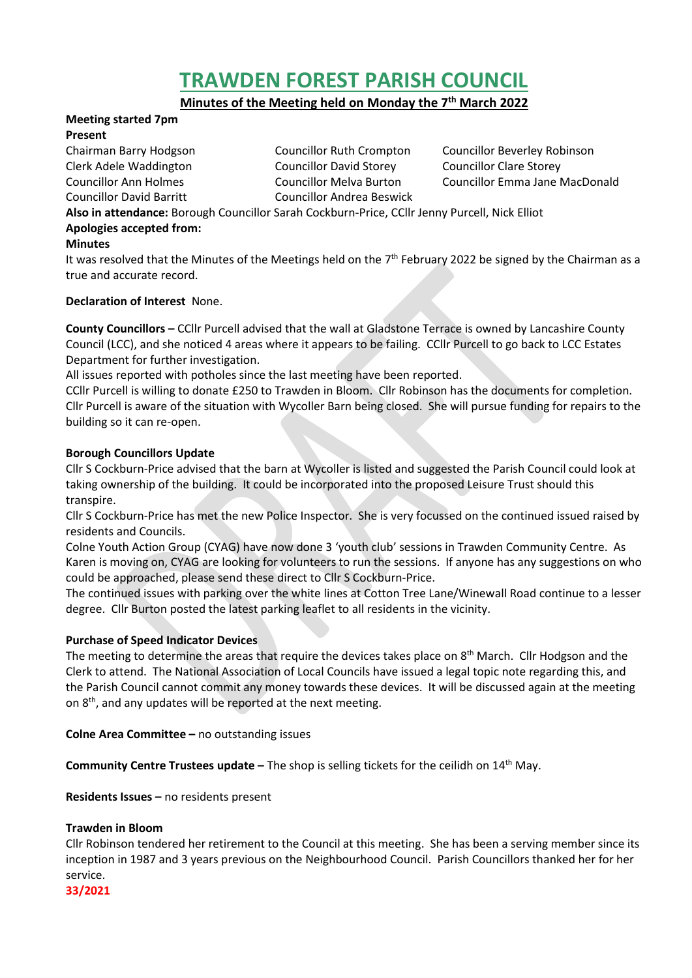# **TRAWDEN FOREST PARISH COUNCIL**

**Minutes of the Meeting held on Monday the 7 th March 2022**

#### **Meeting started 7pm Present**

Clerk Adele Waddington Councillor David Storey Councillor Clare Storey Councillor David Barritt Councillor Andrea Beswick

Chairman Barry Hodgson Councillor Ruth Crompton Councillor Beverley Robinson Councillor Ann Holmes Councillor Melva Burton Councillor Emma Jane MacDonald

**Also in attendance:** Borough Councillor Sarah Cockburn-Price, CCllr Jenny Purcell, Nick Elliot

## **Apologies accepted from:**

## **Minutes**

It was resolved that the Minutes of the Meetings held on the 7<sup>th</sup> February 2022 be signed by the Chairman as a true and accurate record.

## **Declaration of Interest** None.

**County Councillors –** CCllr Purcell advised that the wall at Gladstone Terrace is owned by Lancashire County Council (LCC), and she noticed 4 areas where it appears to be failing. CCllr Purcell to go back to LCC Estates Department for further investigation.

All issues reported with potholes since the last meeting have been reported.

CCllr Purcell is willing to donate £250 to Trawden in Bloom. Cllr Robinson has the documents for completion. Cllr Purcell is aware of the situation with Wycoller Barn being closed. She will pursue funding for repairs to the building so it can re-open.

## **Borough Councillors Update**

Cllr S Cockburn-Price advised that the barn at Wycoller is listed and suggested the Parish Council could look at taking ownership of the building. It could be incorporated into the proposed Leisure Trust should this transpire.

Cllr S Cockburn-Price has met the new Police Inspector. She is very focussed on the continued issued raised by residents and Councils.

Colne Youth Action Group (CYAG) have now done 3 'youth club' sessions in Trawden Community Centre. As Karen is moving on, CYAG are looking for volunteers to run the sessions. If anyone has any suggestions on who could be approached, please send these direct to Cllr S Cockburn-Price.

The continued issues with parking over the white lines at Cotton Tree Lane/Winewall Road continue to a lesser degree. Cllr Burton posted the latest parking leaflet to all residents in the vicinity.

## **Purchase of Speed Indicator Devices**

The meeting to determine the areas that require the devices takes place on 8<sup>th</sup> March. Cllr Hodgson and the Clerk to attend. The National Association of Local Councils have issued a legal topic note regarding this, and the Parish Council cannot commit any money towards these devices. It will be discussed again at the meeting on 8<sup>th</sup>, and any updates will be reported at the next meeting.

**Colne Area Committee –** no outstanding issues

**Community Centre Trustees update –** The shop is selling tickets for the ceilidh on 14th May.

**Residents Issues –** no residents present

## **Trawden in Bloom**

Cllr Robinson tendered her retirement to the Council at this meeting. She has been a serving member since its inception in 1987 and 3 years previous on the Neighbourhood Council. Parish Councillors thanked her for her service.

**33/2021**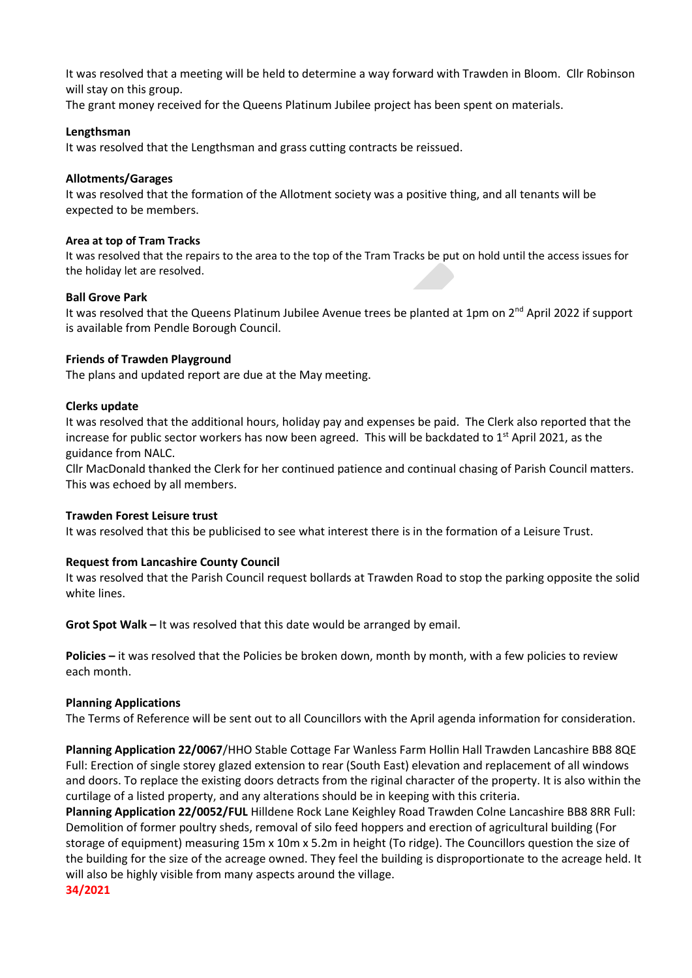It was resolved that a meeting will be held to determine a way forward with Trawden in Bloom. Cllr Robinson will stay on this group.

The grant money received for the Queens Platinum Jubilee project has been spent on materials.

#### **Lengthsman**

It was resolved that the Lengthsman and grass cutting contracts be reissued.

#### **Allotments/Garages**

It was resolved that the formation of the Allotment society was a positive thing, and all tenants will be expected to be members.

#### **Area at top of Tram Tracks**

It was resolved that the repairs to the area to the top of the Tram Tracks be put on hold until the access issues for the holiday let are resolved.

#### **Ball Grove Park**

It was resolved that the Queens Platinum Jubilee Avenue trees be planted at 1pm on 2<sup>nd</sup> April 2022 if support is available from Pendle Borough Council.

#### **Friends of Trawden Playground**

The plans and updated report are due at the May meeting.

#### **Clerks update**

It was resolved that the additional hours, holiday pay and expenses be paid. The Clerk also reported that the increase for public sector workers has now been agreed. This will be backdated to 1<sup>st</sup> April 2021, as the guidance from NALC.

Cllr MacDonald thanked the Clerk for her continued patience and continual chasing of Parish Council matters. This was echoed by all members.

#### **Trawden Forest Leisure trust**

It was resolved that this be publicised to see what interest there is in the formation of a Leisure Trust.

## **Request from Lancashire County Council**

It was resolved that the Parish Council request bollards at Trawden Road to stop the parking opposite the solid white lines.

**Grot Spot Walk –** It was resolved that this date would be arranged by email.

**Policies –** it was resolved that the Policies be broken down, month by month, with a few policies to review each month.

## **Planning Applications**

The Terms of Reference will be sent out to all Councillors with the April agenda information for consideration.

**Planning Application 22/0067**/HHO Stable Cottage Far Wanless Farm Hollin Hall Trawden Lancashire BB8 8QE Full: Erection of single storey glazed extension to rear (South East) elevation and replacement of all windows and doors. To replace the existing doors detracts from the riginal character of the property. It is also within the curtilage of a listed property, and any alterations should be in keeping with this criteria.

**Planning Application 22/0052/FUL** Hilldene Rock Lane Keighley Road Trawden Colne Lancashire BB8 8RR Full: Demolition of former poultry sheds, removal of silo feed hoppers and erection of agricultural building (For storage of equipment) measuring 15m x 10m x 5.2m in height (To ridge). The Councillors question the size of the building for the size of the acreage owned. They feel the building is disproportionate to the acreage held. It will also be highly visible from many aspects around the village. **34/2021**